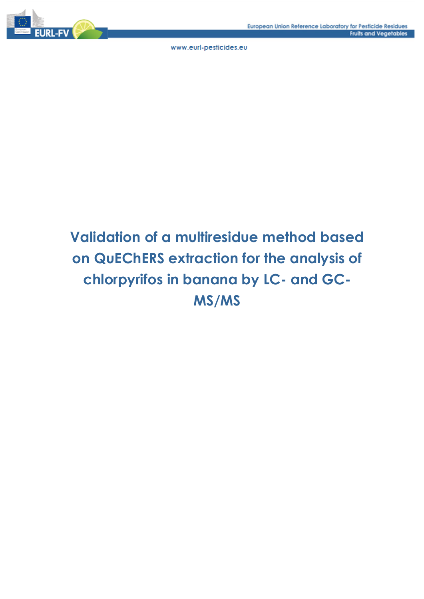# **Validation of a multiresidue method based on QuEChERS extraction for the analysis of chlorpyrifos in banana by LC- and GC-MS/MS**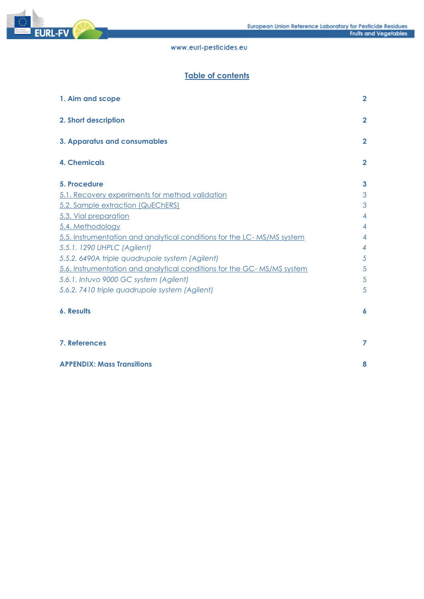

# **Table of contents**

| 1. Aim and scope                                                       | $\overline{2}$ |
|------------------------------------------------------------------------|----------------|
| 2. Short description                                                   | $\overline{2}$ |
| 3. Apparatus and consumables                                           | $\overline{2}$ |
| <b>4. Chemicals</b>                                                    | $\overline{2}$ |
| 5. Procedure                                                           | 3              |
| 5.1. Recovery experiments for method validation                        | 3              |
| 5.2. Sample extraction (QuEChERS)                                      | 3              |
| 5.3. Vial preparation                                                  | $\overline{4}$ |
| 5.4. Methodology                                                       | $\overline{4}$ |
| 5.5. Instrumentation and analytical conditions for the LC-MS/MS system | $\overline{4}$ |
| 5.5.1. 1290 UHPLC (Agilent)                                            | $\overline{4}$ |
| 5.5.2. 6490A triple quadrupole system (Agilent)                        | 5              |
| 5.6. Instrumentation and analytical conditions for the GC-MS/MS system | 5              |
| 5.6.1. Intuvo 9000 GC system (Agilent)                                 | 5              |
| 5.6.2. 7410 triple quadrupole system (Agilent)                         | 5              |
| <b>6. Results</b>                                                      | 6              |
| 7. References                                                          | 7              |
| <b>APPENDIX: Mass Transitions</b>                                      | 8              |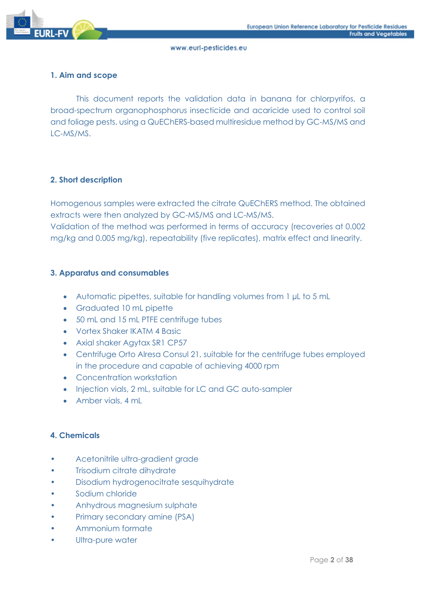

## **1. Aim and scope**

This document reports the validation data in banana for chlorpyrifos, a broad-spectrum organophosphorus insecticide and acaricide used to control soil and foliage pests, using a QuEChERS-based multiresidue method by GC-MS/MS and LC-MS/MS.

## **2. Short description**

Homogenous samples were extracted the citrate QuEChERS method. The obtained extracts were then analyzed by GC-MS/MS and LC-MS/MS. Validation of the method was performed in terms of accuracy (recoveries at 0.002 mg/kg and 0.005 mg/kg), repeatability (five replicates), matrix effect and linearity.

## **3. Apparatus and consumables**

- Automatic pipettes, suitable for handling volumes from 1 µL to 5 mL
- Graduated 10 mL pipette
- 50 mL and 15 mL PTFE centrifuge tubes
- Vortex Shaker IKATM 4 Basic
- Axial shaker Agytax SR1 CP57
- Centrifuge Orto Alresa Consul 21, suitable for the centrifuge tubes employed in the procedure and capable of achieving 4000 rpm
- Concentration workstation
- Injection vials, 2 mL, suitable for LC and GC auto-sampler
- Amber vials, 4 mL

## **4. Chemicals**

- Acetonitrile ultra-gradient grade
- **Trisodium citrate dihydrate**
- Disodium hydrogenocitrate sesquihydrate
- Sodium chloride
- Anhydrous magnesium sulphate
- Primary secondary amine (PSA)
- Ammonium formate
- Ultra-pure water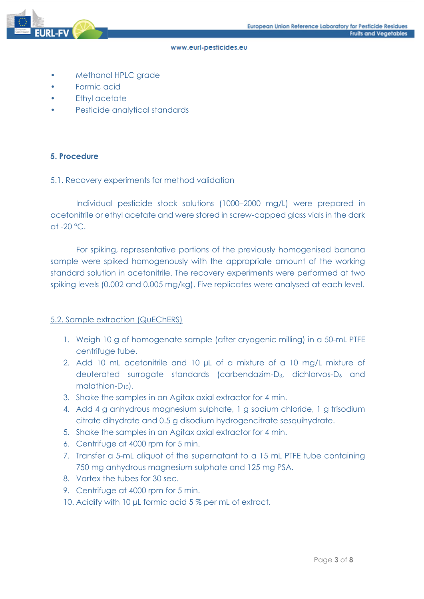

- Methanol HPLC grade
- Formic acid
- **Ethyl acetate**
- Pesticide analytical standards

#### **5. Procedure**

#### 5.1. Recovery experiments for method validation

Individual pesticide stock solutions (1000–2000 mg/L) were prepared in acetonitrile or ethyl acetate and were stored in screw-capped glass vials in the dark at  $-20$  °C.

For spiking, representative portions of the previously homogenised banana sample were spiked homogenously with the appropriate amount of the working standard solution in acetonitrile. The recovery experiments were performed at two spiking levels (0.002 and 0.005 mg/kg). Five replicates were analysed at each level.

#### 5.2. Sample extraction (QuEChERS)

- 1. Weigh 10 g of homogenate sample (after cryogenic milling) in a 50-mL PTFE centrifuge tube.
- 2. Add 10 mL acetonitrile and 10 uL of a mixture of a 10 ma/L mixture of deuterated surrogate standards (carbendazim-D3, dichlorvos-D<sup>6</sup> and malathion-D10).
- 3. Shake the samples in an Agitax axial extractor for 4 min.
- 4. Add 4 g anhydrous magnesium sulphate, 1 g sodium chloride, 1 g trisodium citrate dihydrate and 0.5 g disodium hydrogencitrate sesquihydrate.
- 5. Shake the samples in an Agitax axial extractor for 4 min.
- 6. Centrifuge at 4000 rpm for 5 min.
- 7. Transfer a 5-mL aliquot of the supernatant to a 15 mL PTFE tube containing 750 mg anhydrous magnesium sulphate and 125 mg PSA.
- 8. Vortex the tubes for 30 sec.
- 9. Centrifuge at 4000 rpm for 5 min.
- 10. Acidify with 10 μL formic acid 5 % per mL of extract.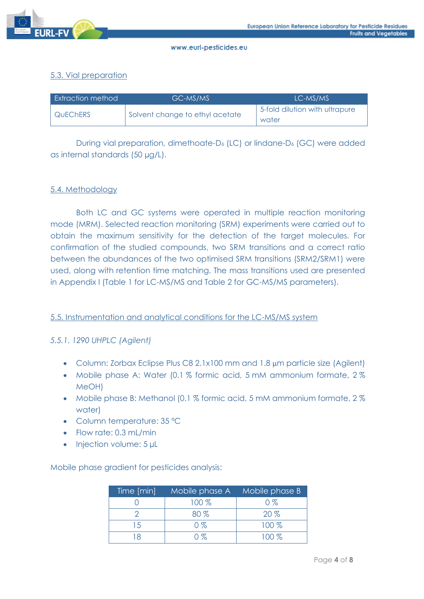

## 5.3. Vial preparation

| Extraction method | GC-MS/MS                        | LC-MS/MS                                |
|-------------------|---------------------------------|-----------------------------------------|
| <b>QUECHERS</b>   | Solvent change to ethyl acetate | 5-fold dilution with ultrapure<br>water |

During vial preparation, dimethoate-D<sup>6</sup> (LC) or lindane-D<sup>6</sup> (GC) were added as internal standards (50 µg/L).

## 5.4. Methodology

Both LC and GC systems were operated in multiple reaction monitoring mode (MRM). Selected reaction monitoring (SRM) experiments were carried out to obtain the maximum sensitivity for the detection of the target molecules. For confirmation of the studied compounds, two SRM transitions and a correct ratio between the abundances of the two optimised SRM transitions (SRM2/SRM1) were used, along with retention time matching. The mass transitions used are presented in Appendix I (Table 1 for LC-MS/MS and Table 2 for GC-MS/MS parameters).

## 5.5. Instrumentation and analytical conditions for the LC-MS/MS system

## *5.5.1. 1290 UHPLC (Agilent)*

- Column: Zorbax Eclipse Plus C8 2.1x100 mm and 1.8 µm particle size (Agilent)
- Mobile phase A: Water (0.1 % formic acid, 5 mM ammonium formate, 2 % MeOH)
- Mobile phase B: Methanol (0.1 % formic acid, 5 mM ammonium formate, 2 % water)
- Column temperature: 35 ºC
- Flow rate: 0.3 mL/min
- Injection volume: 5 µL

Mobile phase gradient for pesticides analysis:

| Time [min] | Mobile phase A | Mobile phase B |  |  |
|------------|----------------|----------------|--|--|
|            | 100 %          | $0\%$          |  |  |
|            | $80\%$         | $20\%$         |  |  |
| 15         | $0\%$          | $100\%$        |  |  |
|            | $\cap$ %       | $100\%$        |  |  |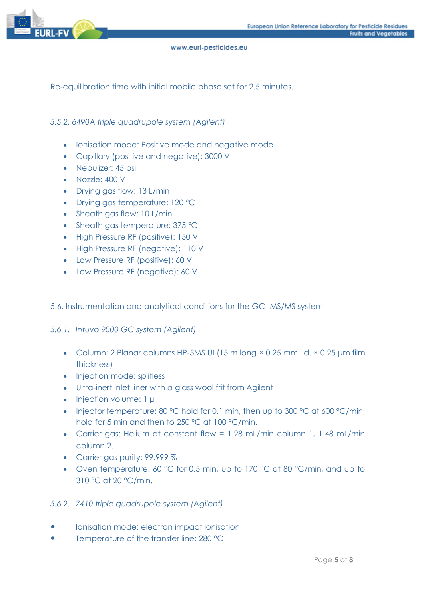

Re-equilibration time with initial mobile phase set for 2.5 minutes.

## *5.5.2. 6490A triple quadrupole system (Agilent)*

- Ionisation mode: Positive mode and negative mode
- Capillary (positive and negative): 3000 V
- Nebulizer: 45 psi
- Nozzle: 400 V
- Drying gas flow: 13 L/min
- Drying gas temperature: 120 ºC
- Sheath gas flow: 10 L/min
- Sheath gas temperature: 375 °C
- High Pressure RF (positive): 150 V
- High Pressure RF (negative): 110 V
- Low Pressure RF (positive): 60 V
- Low Pressure RF (negative): 60 V

#### 5.6. Instrumentation and analytical conditions for the GC- MS/MS system

#### *5.6.1. Intuvo 9000 GC system (Agilent)*

- Column: 2 Planar columns HP-5MS UI (15 m long  $\times$  0.25 mm i.d.  $\times$  0.25 µm film thickness)
- Injection mode: splitless
- Ultra-inert inlet liner with a glass wool frit from Agilent
- Injection volume: 1 µl
- Injector temperature: 80 °C hold for 0.1 min, then up to 300 °C at 600 °C/min, hold for 5 min and then to 250 ºC at 100 °C/min.
- Carrier gas: Helium at constant flow = 1.28 mL/min column 1, 1.48 mL/min column 2.
- Carrier gas purity: 99.999 %
- Oven temperature: 60 °C for 0.5 min, up to 170 °C at 80 °C/min, and up to 310 °C at 20 °C/min.

#### *5.6.2. 7410 triple quadrupole system (Agilent)*

- Ionisation mode: electron impact ionisation
- Temperature of the transfer line: 280 °C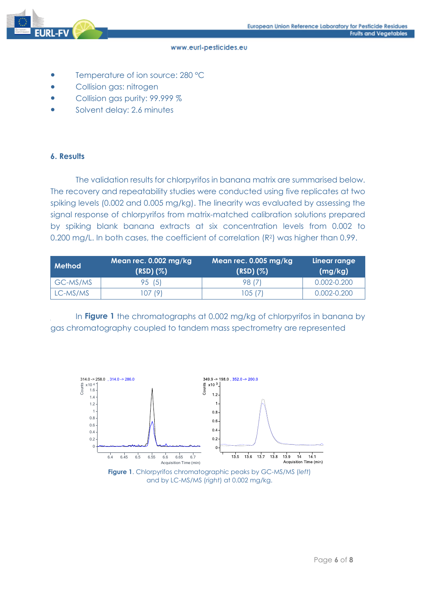

- Temperature of ion source: 280 °C
- Collision gas: nitrogen
- Collision gas purity: 99.999 %
- Solvent delay: 2.6 minutes

## **6. Results**

The validation results for chlorpyrifos in banana matrix are summarised below. The recovery and repeatability studies were conducted using five replicates at two spiking levels (0.002 and 0.005 mg/kg). The linearity was evaluated by assessing the signal response of chlorpyrifos from matrix-matched calibration solutions prepared by spiking blank banana extracts at six concentration levels from 0.002 to 0.200 mg/L. In both cases, the coefficient of correlation (R<sup>2</sup>) was higher than 0.99.

| <b>Method</b> | Mean rec. $0.002 \text{ mg/kg}$<br>$(RSD)(\%)$ | Mean rec. $0.005 \,\mathrm{mg/kg}$<br>$(RSD)(\%)$ | Linear range<br>(mg/kg) |  |
|---------------|------------------------------------------------|---------------------------------------------------|-------------------------|--|
| GC-MS/MS      | 95 (5)                                         | 98 (7)                                            | $0.002 - 0.200$         |  |
| LC-MS/MS      | 107 (9)                                        | 105 (7)                                           | $0.002 - 0.200$         |  |

In **Figure 1** the chromatographs at 0.002 mg/kg of chlorpyrifos in banana by gas chromatography coupled to tandem mass spectrometry are represented



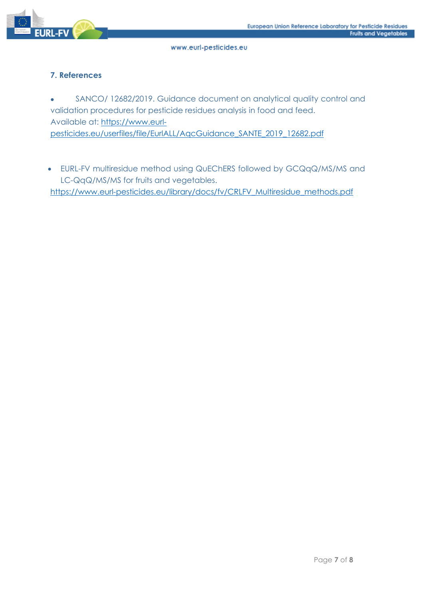

## **7. References**

• SANCO/ 12682/2019. Guidance document on analytical quality control and validation procedures for pesticide residues analysis in food and feed. Available at: https://www.eurlpesticides.eu/userfiles/file/EurlALL/AqcGuidance\_SANTE\_2019\_12682.pdf

• EURL-FV multiresidue method using QuEChERS followed by GCQqQ/MS/MS and LC-QqQ/MS/MS for fruits and vegetables.

[https://www.eurl-pesticides.eu/library/docs/fv/CRLFV\\_Multiresidue\\_methods.pdf](https://www.eurl-pesticides.eu/library/docs/fv/CRLFV_Multiresidue_methods.pdf)